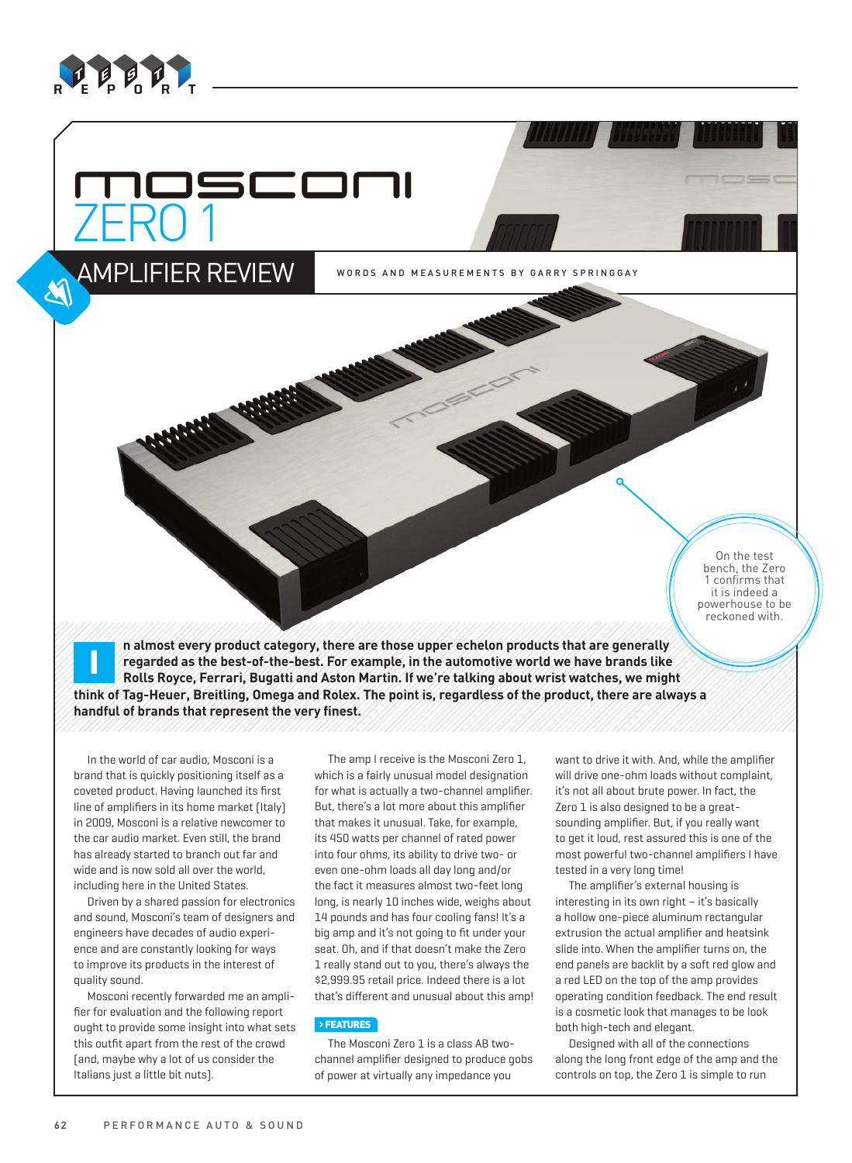

# 5COM ZERO 1

Amplifier Review

WORDS AND MEASUREMENTS BY GARRY SPRINGGAY

On the test bench, the Zero confirms that it is indeed a powerhouse to be reckoned with.

**i n** almost every product category, there are those upper echelon products that are generally regarded as the best-of-the-best. For example, in the automotive world we have brands like  $\epsilon$  regarded as the best-of-the-b **regarded as the best-of-the-best. For example, in the automotive world we have brands like Rolls Royce, Ferrari, Bugatti and Aston Martin. If we're talking about wrist watches, we might think of Tag-Heuer, Breitling, Omega and Rolex. The point is, regardless of the product, there are always a handful of brands that represent the very finest.**

In the world of car audio, Mosconi is a brand that is quickly positioning itself as a coveted product. Having launched its first line of amplifiers in its home market (Italy) in 2009, Mosconi is a relative newcomer to the car audio market. Even still, the brand has already started to branch out far and wide and is now sold all over the world, including here in the United States.

Driven by a shared passion for electronics and sound, Mosconi's team of designers and engineers have decades of audio experience and are constantly looking for ways to improve its products in the interest of quality sound.

Mosconi recently forwarded me an amplifier for evaluation and the following report ought to provide some insight into what sets this outfit apart from the rest of the crowd (and, maybe why a lot of us consider the Italians just a little bit nuts).

The amp I receive is the Mosconi Zero 1, which is a fairly unusual model designation for what is actually a two-channel amplifier. But, there's a lot more about this amplifier that makes it unusual. Take, for example, its 450 watts per channel of rated power into four ohms, its ability to drive two- or even one-ohm loads all day long and/or the fact it measures almost two-feet long long, is nearly 10 inches wide, weighs about 14 pounds and has four cooling fans! It's a big amp and it's not going to fit under your seat. Oh, and if that doesn't make the Zero 1 really stand out to you, there's always the \$2,999.95 retail price. Indeed there is a lot that's different and unusual about this amp!

#### **›** FEATURES

The Mosconi Zero 1 is a class AB twochannel amplifier designed to produce gobs of power at virtually any impedance you

want to drive it with. And, while the amplifier will drive one-ohm loads without complaint, it's not all about brute power. In fact, the Zero 1 is also designed to be a greatsounding amplifier. But, if you really want to get it loud, rest assured this is one of the most powerful two-channel amplifiers I have tested in a very long time!

The amplifier's external housing is interesting in its own right – it's basically a hollow one-piece aluminum rectangular extrusion the actual amplifier and heatsink slide into. When the amplifier turns on, the end panels are backlit by a soft red glow and a red LED on the top of the amp provides operating condition feedback. The end result is a cosmetic look that manages to be look both high-tech and elegant.

Designed with all of the connections along the long front edge of the amp and the controls on top, the Zero 1 is simple to run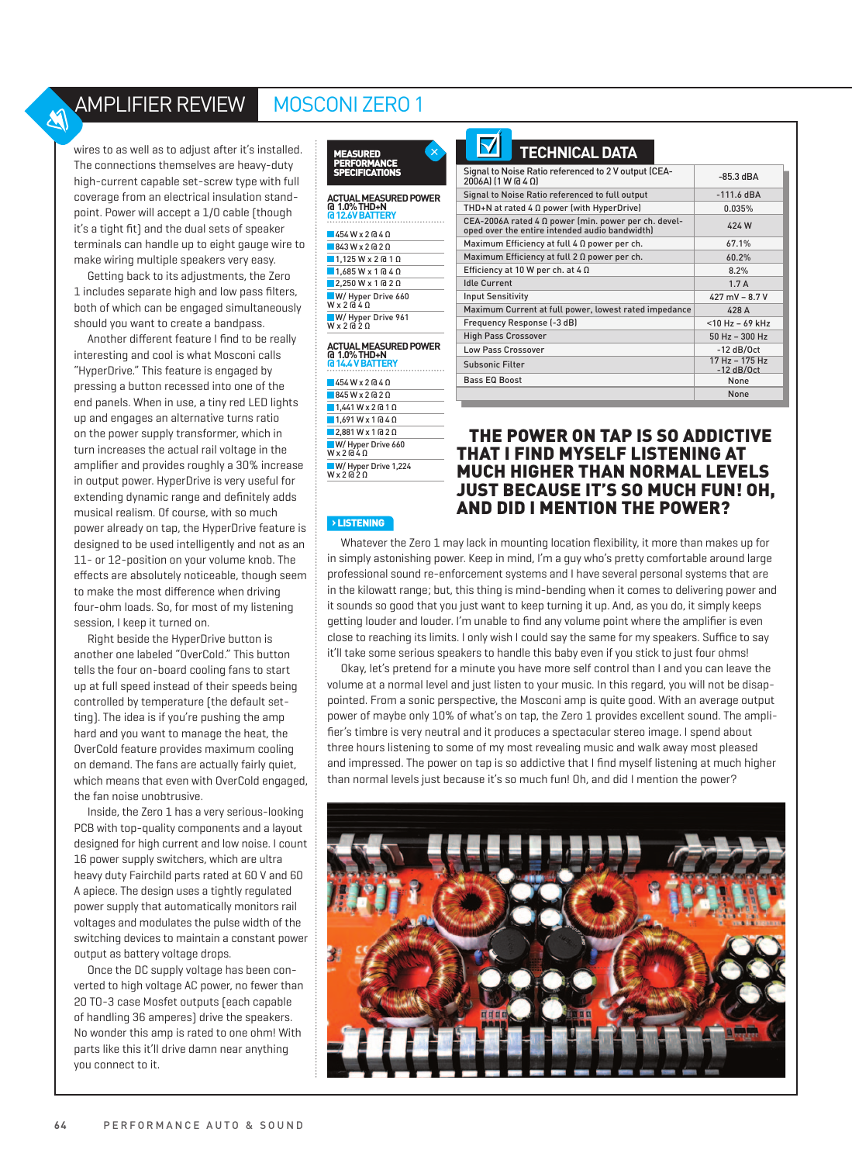# Amplifier Review Mosconi Zero 1

wires to as well as to adjust after it's installed. The connections themselves are heavy-duty high-current capable set-screw type with full coverage from an electrical insulation standpoint. Power will accept a 1/0 cable (though it's a tight fit) and the dual sets of speaker terminals can handle up to eight gauge wire to make wiring multiple speakers very easy.

M

Getting back to its adjustments, the Zero 1 includes separate high and low pass filters, both of which can be engaged simultaneously should you want to create a bandpass.

Another different feature I find to be really interesting and cool is what Mosconi calls "HyperDrive." This feature is engaged by pressing a button recessed into one of the end panels. When in use, a tiny red LED lights up and engages an alternative turns ratio on the power supply transformer, which in turn increases the actual rail voltage in the amplifier and provides roughly a 30% increase in output power. HyperDrive is very useful for extending dynamic range and definitely adds musical realism. Of course, with so much power already on tap, the HyperDrive feature is designed to be used intelligently and not as an 11- or 12-position on your volume knob. The effects are absolutely noticeable, though seem to make the most difference when driving four-ohm loads. So, for most of my listening session, I keep it turned on.

Right beside the HyperDrive button is another one labeled "OverCold." This button tells the four on-board cooling fans to start up at full speed instead of their speeds being controlled by temperature (the default setting). The idea is if you're pushing the amp hard and you want to manage the heat, the OverCold feature provides maximum cooling on demand. The fans are actually fairly quiet, which means that even with OverCold engaged. the fan noise unobtrusive.

Inside, the Zero 1 has a very serious-looking PCB with top-quality components and a layout designed for high current and low noise. I count 16 power supply switchers, which are ultra heavy duty Fairchild parts rated at 60 V and 60 A apiece. The design uses a tightly regulated power supply that automatically monitors rail voltages and modulates the pulse width of the switching devices to maintain a constant power output as battery voltage drops.

Once the DC supply voltage has been converted to high voltage AC power, no fewer than 20 TO-3 case Mosfet outputs (each capable of handling 36 amperes) drive the speakers. No wonder this amp is rated to one ohm! With parts like this it'll drive damn near anything you connect to it.



#### **Actual Measured Power @ 1.0% THD+N @ 12.6V Battery** 454 W x 2 @ 4 Ω **843 W x 2 @ 2 Ω 1,125 W x 2 @ 1 Ω**  $1,685$  W x 1 @ 4  $\Omega$

| $2.250 W x 1$ $\alpha$ 2 $\Omega$            |  |
|----------------------------------------------|--|
| W/ Hyper Drive 660<br>$W \times 2 \times 40$ |  |
| W/ Hyper Drive 961<br>$W \times 2 \times 20$ |  |

## **Actual Measured Power @ 1.0% THD+N**

| <b>G14.4 V BATTERY</b>                         |
|------------------------------------------------|
| $454W \times 2 \times 40$                      |
| $845W \times 2020$                             |
| $1,441$ W x 2 @ 1 $\Omega$                     |
| $1.691$ W x 1 @ 4 $\Omega$                     |
| $2.881$ W x 1 @ 2 $\Omega$                     |
| W/ Hyper Drive 660<br>$W \times 2040$          |
| W/ Hyper Drive 1,224<br>$W \times 2 \times 20$ |
|                                                |

| <b>TECHNICAL DATA</b>                                                                                  |                                  |
|--------------------------------------------------------------------------------------------------------|----------------------------------|
| Signal to Noise Ratio referenced to 2 V output (CEA-<br>$2006$ A $1$ (1 W @ 4 $\Omega$ )               | $-85.3$ dBA                      |
| Signal to Noise Ratio referenced to full output                                                        | $-111.6$ dBA                     |
| THD+N at rated $4 \Omega$ power (with HyperDrive)                                                      | 0.035%                           |
| CEA-2006A rated 4 0 power (min. power per ch. devel-<br>oped over the entire intended audio bandwidth) | 424W                             |
| Maximum Efficiency at full 4 Ω power per ch.                                                           | 67.1%                            |
| Maximum Efficiency at full $2 \Omega$ power per ch.                                                    | 60.2%                            |
| Efficiency at 10 W per ch. at 4 $\Omega$                                                               | 8.2%                             |
| <b>Idle Current</b>                                                                                    | 1.7A                             |
| <b>Input Sensitivity</b>                                                                               | $427$ mV - 8.7 V                 |
| Maximum Current at full power, lowest rated impedance                                                  | 428A                             |
| Frequency Response (-3 dB)                                                                             | $<$ 10 Hz - 69 kHz               |
| <b>High Pass Crossover</b>                                                                             | 50 Hz - 300 Hz                   |
| <b>Low Pass Crossover</b>                                                                              | $-12$ dB/Oct                     |
| <b>Subsonic Filter</b>                                                                                 | $17 Hz - 175 Hz$<br>$-12$ dB/Oct |
| <b>Bass EQ Boost</b>                                                                                   | None                             |
|                                                                                                        | None                             |
|                                                                                                        |                                  |

## The power on tap is so addictive that I find myself listening at much higher than normal levels JUST BECAUSE IT'S SO MUCH FUN! OH. and did I mention the power?

**›** listening

Whatever the Zero 1 may lack in mounting location flexibility, it more than makes up for in simply astonishing power. Keep in mind, I'm a guy who's pretty comfortable around large professional sound re-enforcement systems and I have several personal systems that are in the kilowatt range; but, this thing is mind-bending when it comes to delivering power and it sounds so good that you just want to keep turning it up. And, as you do, it simply keeps getting louder and louder. I'm unable to find any volume point where the amplifier is even close to reaching its limits. I only wish I could say the same for my speakers. Suffice to say it'll take some serious speakers to handle this baby even if you stick to just four ohms!

Okay, let's pretend for a minute you have more self control than I and you can leave the volume at a normal level and just listen to your music. In this regard, you will not be disappointed. From a sonic perspective, the Mosconi amp is quite good. With an average output power of maybe only 10% of what's on tap, the Zero 1 provides excellent sound. The amplifier's timbre is very neutral and it produces a spectacular stereo image. I spend about three hours listening to some of my most revealing music and walk away most pleased and impressed. The power on tap is so addictive that I find myself listening at much higher than normal levels just because it's so much fun! Oh, and did I mention the power?